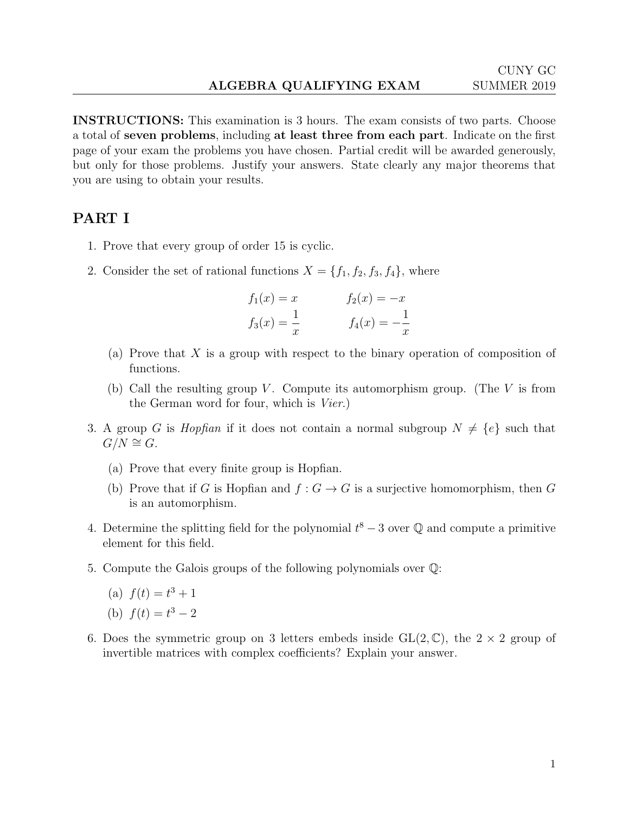INSTRUCTIONS: This examination is 3 hours. The exam consists of two parts. Choose a total of seven problems, including at least three from each part. Indicate on the first page of your exam the problems you have chosen. Partial credit will be awarded generously, but only for those problems. Justify your answers. State clearly any major theorems that you are using to obtain your results.

## PART I

- 1. Prove that every group of order 15 is cyclic.
- 2. Consider the set of rational functions  $X = \{f_1, f_2, f_3, f_4\}$ , where

$$
f_1(x) = x
$$
  $f_2(x) = -x$   
 $f_3(x) = \frac{1}{x}$   $f_4(x) = -\frac{1}{x}$ 

- (a) Prove that  $X$  is a group with respect to the binary operation of composition of functions.
- (b) Call the resulting group V. Compute its automorphism group. (The V is from the German word for four, which is Vier.)
- 3. A group G is *Hopfian* if it does not contain a normal subgroup  $N \neq \{e\}$  such that  $G/N \cong G$ .
	- (a) Prove that every finite group is Hopfian.
	- (b) Prove that if G is Hopfian and  $f: G \to G$  is a surjective homomorphism, then G is an automorphism.
- 4. Determine the splitting field for the polynomial  $t^8 3$  over  $\mathbb Q$  and compute a primitive element for this field.
- 5. Compute the Galois groups of the following polynomials over Q:
	- (a)  $f(t) = t^3 + 1$
	- (b)  $f(t) = t^3 2$
- 6. Does the symmetric group on 3 letters embeds inside  $GL(2,\mathbb{C})$ , the  $2 \times 2$  group of invertible matrices with complex coefficients? Explain your answer.